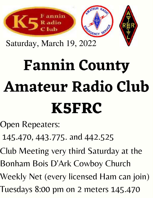

Saturday, March 19, 2022

# **Fannin County Amateur Radio Club K5FRC**

Open Repeaters:

145.470, 443.775. and 442.525

Club Meeting very third Saturday at the

Bonham Bois D'Ark Cowboy Church

Weekly Net (every licensed Ham can join)

Tuesdays 8:00 pm on 2 meters 145.470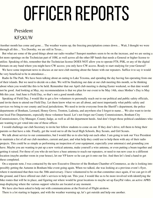# OFFICER REPORTS

#### President KF5KUW

Another month has come and gone… The weather warms up, the freezing precipitation comes down… Wait, I thought we were through all this… Yes Dorothy, we are still in Texas...

But what are some of the good things about our radio weather? Sunspot numbers seem to be on the increase, and we are seeing a lot more openings on the Technician part of 10M, as well across all the other HF bands that needs a General or higher license to utilize. Speaking of this, remember that the Technician license DOES NOT allow you to operate FT8, PSK, or any of the digital formats on any band where you might have CW access; you only have CW access. Ready to start studying for your General?

We have some important news to discuss at our next club meeting about the future with our repeaters. Suffice it to say it would be very beneficial to be in attendance…

Radio In The Park. We have been talking about an outing to Lake Texoma, and spending the day having fun operating from one of their islands. But we need to decide on a date. We will be finalizing our date at our club meeting this month, so be thinking about when you would like this to be held. Remember that our April club meeting is during Easter weekend, so that date would not be good. And looking at May, my recommendation is that we plan for our event to be May 14th, since Mother's Day is May 8th this year. And June is Field Day, so that's not a good month either.

Speaking of Field Day, I would like to get a few volunteers to personally reach out to our political and public safety officials, and invite them to attend our Field Day. Let them know what we are all about, and most importantly what public safety and services we bring to our county and local jurisdictions. We need to invite everyone from the Sheriff's department, the police departments of Bonham, Leonard, Honey Grove, Trenton, Ladonia, and anywhere else I forgot to name… We also want to invite our local Fire Departments, especially those volunteer based. Let's not forget our County Commissioners, Bonham City Commissioners, City Manager, County Judge, as well as all the department heeds. And don't forget those political candidates who are wanting to get voted into one of those offices

I would challenge our club Secretary to invite her fellow students to come on out. If they don't drive, tell them to bring their parents so that have a ride. Finally, get the word out to all the local High Schools, Boy Scouts, and Girl Scouts.

We talk about service to our communities, but I would like us to also help out each other. I am going to task our Vice President to maintain a list of all our club members, current and past, and what help they could use to help them with any of their radio projects. This could be as simple as performing an inspection of your equipment, especially your antenna(s) and grounding you have. Maybe you are wanting to put up a new vertical antenna, make yourself a wire antenna, or even putting a beam together and getting it raised. For those of you who do not have a base antenna to reach our repeaters, or need to run new coax to a different location (maybe another room in your house), let our VP know so he can get it onto our list. And then let's lend a hand to get these completed.

On a separate note, I was contacted by the new Executive Director of the Bonham Chamber of Commerce, as she is looking into possibly getting the Autumn in Bonham bike event going again. When we talked, she was looking at a previous event's flyer, where it mentioned that then was the 30th anniversary. I have volunteered to be on that committee once again, if we can get it off the ground, and I have offered our club's services to help out. This year, I would like us to be more involved with identifying the bike routes that will be in place, and figuring out where would be great locations to maybe set up EasyPal video, an active APRS map displaying where the various support vehicles are located at any moment.

We have also been asked to help out with communications at the Festival of Flight airshow.

There is a lot starting to happen, and with the weather warming up, let's get outside and help one another.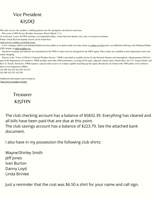#### Vice President KI5DQ

This time of year, the weather is shifting patterns into the springtime rain showers and more.

This week is NWS Severe Weather Awareness Week (March 7-11).

As in the past 2 years all NWS training is accomplished online, virtual Skywarn Spotter class only, no in-person seminars.

Future virtual Skywarn Spotter classes can be found here:

<https://www.weather.gov/fwd/skywarn>

A new webpage called Local Standard Radar has been added as an option under our radar menu at [weather.gov/fwd](http://weather.gov/fwd) and is an additional offering to the Enhanced Radar (GIS) display at [radar.weather.gov.](https://radar.weather.gov/)

Advanced warnings and bulletins are transmitted by the NWS to radio receivers designed for the NWS signal. These radios are available at most department stores and online shopping.

Known as the "Voice of NOAA's National Weather Service," NWR is provided as a public service by the National Oceanic and Atmospheric Administration (NOAA), part of the Department of Commerce. NWR includes more than 1000 transmitters, covering all 50 states, adjacent coastal waters, Puerto Rico, the U.S. Virgin Islands, and the U.S. Pacific Territories. NWR requires a special radio receiver or scanner capable of picking up the signal. Broadcasts are found in the VHF public service band at these seven frequencies (MHz):

162.400 162.425 162.450 162.475 162.500 162.525 162.550

Additional information can be found at: <https://www.weather.gov/nwr>

#### Treasurer KI5FHN

The club checking account has a balance of \$5832.39. Everything has cleared and all bills have been paid that are due at this point.

The club savings account has a balance of \$223.79. See the attached bank document.

I also have in my possession the following club shirts:

Wayne/Shirley Smith Jeff Jones Ivan Burton Danny Loyd Linda Brinlee

Just a reminder that the cost was \$6.50 a shirt for your name and call sign.